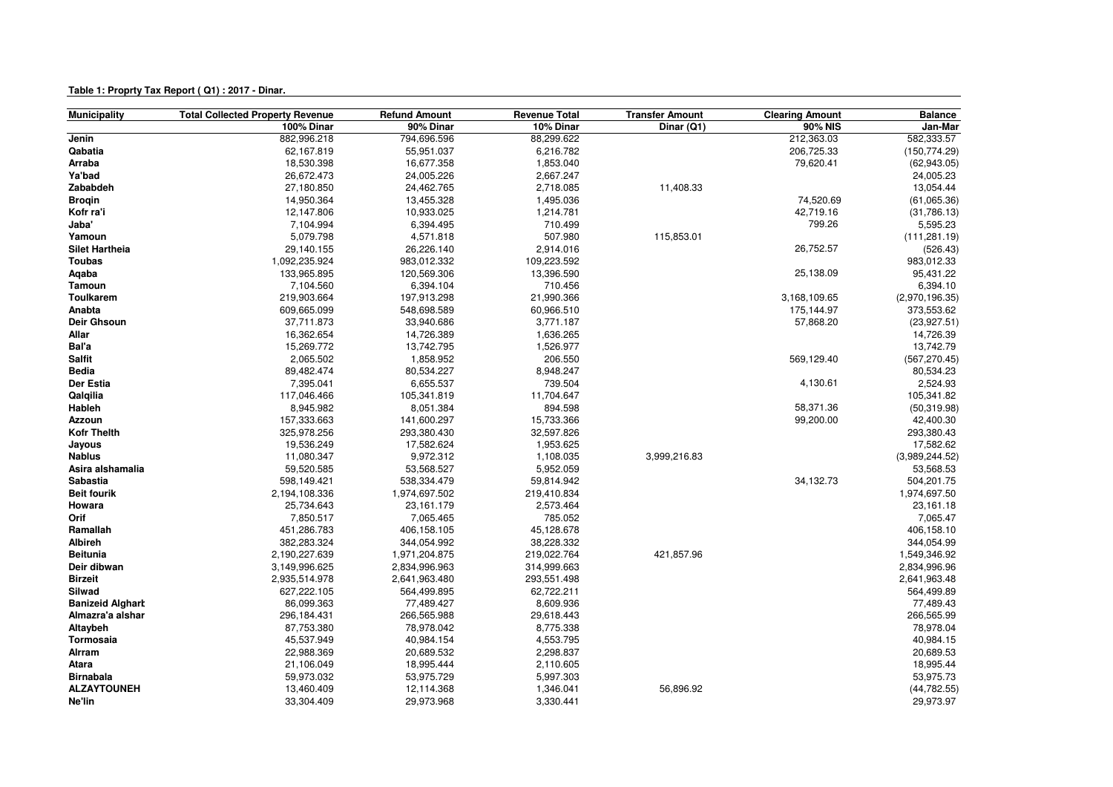## **Table 1: Proprty Tax Report ( Q1) : 2017 - Dinar.**

| <b>Municipality</b>     | <b>Total Collected Property Revenue</b> | <b>Refund Amount</b> | <b>Revenue Total</b> | <b>Transfer Amount</b> | <b>Clearing Amount</b> | <b>Balance</b> |
|-------------------------|-----------------------------------------|----------------------|----------------------|------------------------|------------------------|----------------|
|                         | 100% Dinar                              | 90% Dinar            | 10% Dinar            | Dinar (Q1)             | <b>90% NIS</b>         | Jan-Mar        |
| Jenin                   | 882,996.218                             | 794,696.596          | 88,299.622           |                        | 212,363.03             | 582,333.57     |
| Qabatia                 | 62,167.819                              | 55,951.037           | 6,216.782            |                        | 206,725.33             | (150, 774.29)  |
| Arraba                  | 18,530.398                              | 16,677.358           | 1,853.040            |                        | 79,620.41              | (62,943.05)    |
| Ya'bad                  | 26,672.473                              | 24,005.226           | 2,667.247            |                        |                        | 24,005.23      |
| Zababdeh                | 27,180.850                              | 24,462.765           | 2,718.085            | 11,408.33              |                        | 13,054.44      |
| <b>Broqin</b>           | 14,950.364                              | 13,455.328           | 1,495.036            |                        | 74,520.69              | (61,065.36)    |
| Kofr ra'i               | 12,147.806                              | 10,933.025           | 1,214.781            |                        | 42,719.16              | (31,786.13)    |
| Jaba'                   | 7,104.994                               | 6,394.495            | 710.499              |                        | 799.26                 | 5,595.23       |
| Yamoun                  | 5,079.798                               | 4,571.818            | 507.980              | 115,853.01             |                        | (111, 281.19)  |
| <b>Silet Hartheia</b>   | 29,140.155                              | 26,226.140           | 2,914.016            |                        | 26,752.57              | (526.43)       |
| <b>Toubas</b>           | 1,092,235.924                           | 983,012.332          | 109,223.592          |                        |                        | 983,012.33     |
| Aqaba                   | 133,965.895                             | 120,569.306          | 13,396.590           |                        | 25,138.09              | 95,431.22      |
| <b>Tamoun</b>           | 7,104.560                               | 6,394.104            | 710.456              |                        |                        | 6,394.10       |
| <b>Toulkarem</b>        | 219,903.664                             | 197,913.298          | 21,990.366           |                        | 3,168,109.65           | (2,970,196.35) |
| Anabta                  | 609,665.099                             | 548,698.589          | 60,966.510           |                        | 175,144.97             | 373,553.62     |
| Deir Ghsoun             | 37,711.873                              | 33,940.686           | 3,771.187            |                        | 57,868.20              | (23, 927.51)   |
| Allar                   | 16,362.654                              | 14,726.389           | 1,636.265            |                        |                        | 14,726.39      |
| Bal'a                   | 15,269.772                              | 13,742.795           | 1,526.977            |                        |                        | 13,742.79      |
| <b>Salfit</b>           | 2,065.502                               | 1,858.952            | 206.550              |                        | 569,129.40             | (567, 270.45)  |
| <b>Bedia</b>            | 89,482.474                              | 80,534.227           | 8,948.247            |                        |                        | 80,534.23      |
| Der Estia               | 7,395.041                               | 6,655.537            | 739.504              |                        | 4,130.61               | 2,524.93       |
| Qalqilia                | 117,046.466                             | 105,341.819          | 11,704.647           |                        |                        | 105,341.82     |
| Hableh                  | 8,945.982                               | 8,051.384            | 894.598              |                        | 58,371.36              | (50, 319.98)   |
| Azzoun                  | 157,333.663                             | 141,600.297          | 15,733.366           |                        | 99,200.00              | 42,400.30      |
| <b>Kofr Thelth</b>      | 325,978.256                             | 293,380.430          | 32,597.826           |                        |                        | 293,380.43     |
| Jayous                  | 19,536.249                              | 17,582.624           | 1,953.625            |                        |                        | 17,582.62      |
| <b>Nablus</b>           | 11,080.347                              | 9,972.312            | 1,108.035            | 3,999,216.83           |                        | (3,989,244.52) |
| Asira alshamalia        | 59,520.585                              | 53,568.527           | 5,952.059            |                        |                        | 53,568.53      |
| <b>Sabastia</b>         | 598,149.421                             | 538,334.479          | 59,814.942           |                        | 34,132.73              | 504,201.75     |
| <b>Beit fourik</b>      | 2,194,108.336                           | 1,974,697.502        | 219,410.834          |                        |                        | 1,974,697.50   |
| Howara                  | 25,734.643                              | 23,161.179           | 2,573.464            |                        |                        | 23,161.18      |
| Orif                    | 7,850.517                               | 7,065.465            | 785.052              |                        |                        | 7,065.47       |
| Ramallah                | 451,286.783                             | 406,158.105          | 45,128.678           |                        |                        | 406,158.10     |
| <b>Albireh</b>          | 382,283.324                             | 344,054.992          | 38,228.332           |                        |                        | 344,054.99     |
| <b>Beitunia</b>         | 2,190,227.639                           | 1,971,204.875        | 219,022.764          | 421,857.96             |                        | 1,549,346.92   |
| Deir dibwan             | 3,149,996.625                           | 2,834,996.963        | 314,999.663          |                        |                        | 2,834,996.96   |
| <b>Birzeit</b>          | 2,935,514.978                           | 2,641,963.480        | 293,551.498          |                        |                        | 2,641,963.48   |
| Silwad                  | 627,222.105                             | 564,499.895          | 62,722.211           |                        |                        | 564,499.89     |
| <b>Banizeid Alghart</b> | 86,099.363                              | 77,489.427           | 8,609.936            |                        |                        | 77,489.43      |
| Almazra'a alshar        | 296,184.431                             | 266,565.988          | 29,618.443           |                        |                        | 266,565.99     |
| Altaybeh                | 87,753.380                              | 78,978.042           | 8,775.338            |                        |                        | 78,978.04      |
| Tormosaia               | 45,537.949                              | 40,984.154           | 4,553.795            |                        |                        | 40,984.15      |
| Alrram                  | 22,988.369                              | 20,689.532           | 2,298.837            |                        |                        | 20,689.53      |
| Atara                   | 21,106.049                              | 18,995.444           | 2,110.605            |                        |                        | 18,995.44      |
| <b>Birnabala</b>        | 59,973.032                              | 53,975.729           | 5,997.303            |                        |                        | 53,975.73      |
| <b>ALZAYTOUNEH</b>      | 13,460.409                              | 12,114.368           | 1,346.041            | 56,896.92              |                        | (44, 782.55)   |
| Ne'lin                  | 33,304.409                              | 29,973.968           | 3,330.441            |                        |                        | 29,973.97      |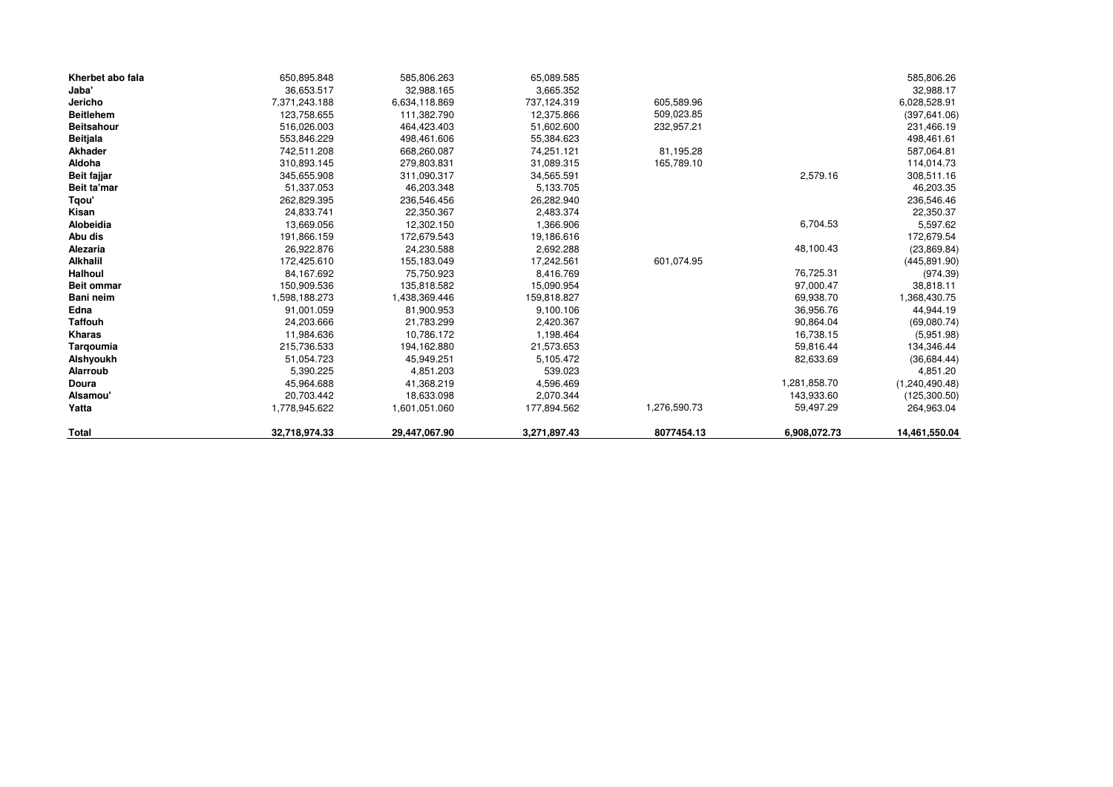| Kherbet abo fala  | 650,895.848   | 585,806.263   | 65,089.585   |              |              | 585,806.26     |
|-------------------|---------------|---------------|--------------|--------------|--------------|----------------|
| Jaba'             | 36.653.517    | 32,988.165    | 3,665.352    |              |              | 32,988.17      |
| Jericho           | 7,371,243.188 | 6,634,118.869 | 737,124.319  | 605,589.96   |              | 6,028,528.91   |
| <b>Beitlehem</b>  | 123,758.655   | 111,382.790   | 12,375.866   | 509,023.85   |              | (397, 641.06)  |
| <b>Beitsahour</b> | 516,026.003   | 464,423.403   | 51,602.600   | 232,957.21   |              | 231,466.19     |
| <b>Beitjala</b>   | 553,846.229   | 498,461.606   | 55,384.623   |              |              | 498,461.61     |
| Akhader           | 742,511.208   | 668,260.087   | 74,251.121   | 81,195.28    |              | 587,064.81     |
| Aldoha            | 310,893.145   | 279,803.831   | 31,089.315   | 165,789.10   |              | 114,014.73     |
| Beit fajjar       | 345,655.908   | 311,090.317   | 34,565.591   |              | 2,579.16     | 308,511.16     |
| Beit ta'mar       | 51,337.053    | 46,203.348    | 5,133.705    |              |              | 46,203.35      |
| Tqou'             | 262,829.395   | 236,546.456   | 26,282.940   |              |              | 236,546.46     |
| Kisan             | 24,833.741    | 22,350.367    | 2,483.374    |              |              | 22,350.37      |
| Alobeidia         | 13,669.056    | 12,302.150    | 1,366.906    |              | 6,704.53     | 5,597.62       |
| Abu dis           | 191,866.159   | 172,679.543   | 19,186.616   |              |              | 172,679.54     |
| Alezaria          | 26,922.876    | 24,230.588    | 2,692.288    |              | 48,100.43    | (23, 869.84)   |
| <b>Alkhalil</b>   | 172,425.610   | 155,183.049   | 17,242.561   | 601,074.95   |              | (445, 891.90)  |
| Halhoul           | 84,167.692    | 75,750.923    | 8,416.769    |              | 76,725.31    | (974.39)       |
| <b>Beit ommar</b> | 150,909.536   | 135,818.582   | 15,090.954   |              | 97,000.47    | 38,818.11      |
| Bani neim         | 1,598,188.273 | 1,438,369.446 | 159,818.827  |              | 69,938.70    | 1,368,430.75   |
| Edna              | 91,001.059    | 81,900.953    | 9,100.106    |              | 36,956.76    | 44,944.19      |
| <b>Taffouh</b>    | 24,203.666    | 21,783.299    | 2,420.367    |              | 90,864.04    | (69,080.74)    |
| Kharas            | 11,984.636    | 10,786.172    | 1,198.464    |              | 16,738.15    | (5,951.98)     |
| Tarqoumia         | 215,736.533   | 194,162.880   | 21,573.653   |              | 59,816.44    | 134,346.44     |
| Alshyoukh         | 51,054.723    | 45,949.251    | 5,105.472    |              | 82,633.69    | (36, 684.44)   |
| Alarroub          | 5,390.225     | 4,851.203     | 539.023      |              |              | 4,851.20       |
| Doura             | 45,964.688    | 41,368.219    | 4,596.469    |              | 1,281,858.70 | (1,240,490.48) |
| Alsamou'          | 20,703.442    | 18,633.098    | 2,070.344    |              | 143,933.60   | (125, 300.50)  |
| Yatta             | 1,778,945.622 | 1,601,051.060 | 177,894.562  | 1,276,590.73 | 59,497.29    | 264,963.04     |
| <b>Total</b>      | 32,718,974.33 | 29,447,067.90 | 3,271,897.43 | 8077454.13   | 6,908,072.73 | 14,461,550.04  |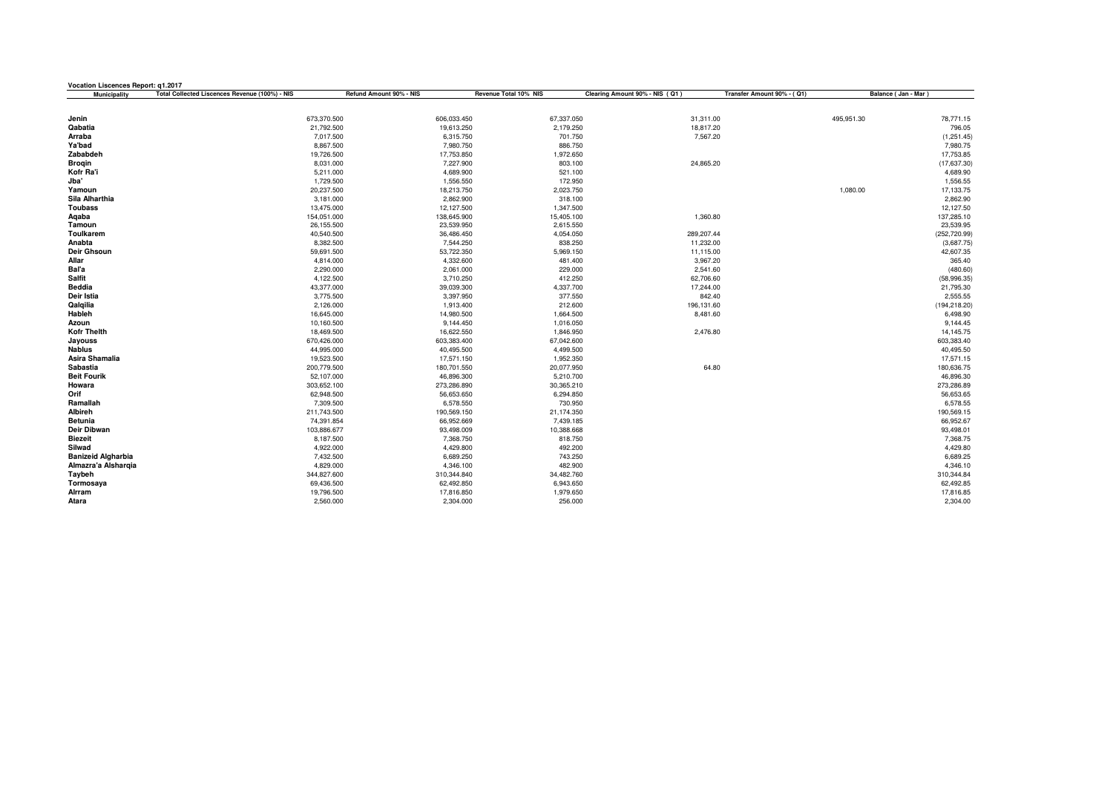| <b>Vocation Liscences Report: g1.2017</b> |                                                |                         |                         |                      |                                |                            |                       |                             |
|-------------------------------------------|------------------------------------------------|-------------------------|-------------------------|----------------------|--------------------------------|----------------------------|-----------------------|-----------------------------|
| Municipality                              | Total Collected Liscences Revenue (100%) - NIS | Refund Amount 90% - NIS | Revenue Total 10% NIS   |                      | Clearing Amount 90% - NIS (Q1) | Transfer Amount 90% - (Q1) | Balance ( Jan - Mar ) |                             |
|                                           |                                                |                         |                         |                      |                                |                            |                       |                             |
| Jenin                                     |                                                | 673,370.500             | 606,033.450             | 67,337.050           | 31,311.00                      |                            | 495,951.30            | 78,771.15                   |
| Qabatia                                   |                                                | 21,792.500              | 19,613.250              | 2,179.250            | 18,817.20                      |                            |                       | 796.05                      |
| Arraba                                    |                                                | 7,017.500               | 6,315.750               | 701.750              | 7,567.20                       |                            |                       | (1,251.45)                  |
| Ya'bad                                    |                                                | 8,867.500               | 7,980.750               | 886.750              |                                |                            |                       | 7,980.75                    |
| Zababdeh                                  |                                                | 19,726.500              | 17,753.850              | 1,972.650            |                                |                            |                       | 17,753.85                   |
| <b>Brogin</b>                             |                                                | 8,031.000               | 7,227.900               | 803.100              | 24,865.20                      |                            |                       | (17,637.30)                 |
| Kofr Ra'i                                 |                                                | 5,211.000               | 4,689.900               | 521.100              |                                |                            |                       | 4,689.90                    |
| Jba'                                      |                                                | 1,729.500               | 1,556.550               | 172.950              |                                |                            |                       | 1,556.55                    |
| Yamoun                                    |                                                | 20,237.500              | 18,213.750              | 2,023.750            |                                |                            | 1,080.00              | 17,133.75                   |
| Sila Alharthia                            |                                                | 3,181.000               | 2,862.900               | 318.100              |                                |                            |                       | 2,862.90                    |
| <b>Toubass</b>                            |                                                | 13,475.000              | 12,127.500              | 1,347.500            |                                |                            |                       | 12,127.50                   |
| Aqaba                                     |                                                | 154,051.000             | 138,645.900             | 15,405.100           | 1,360.80                       |                            |                       | 137,285.10                  |
| Tamoun                                    |                                                | 26,155.500              | 23,539.950              | 2,615.550            |                                |                            |                       | 23,539.95                   |
| Toulkarem<br>Anabta                       |                                                | 40,540.500<br>8,382.500 | 36,486.450<br>7,544.250 | 4,054.050<br>838.250 | 289,207.44<br>11,232.00        |                            |                       | (252, 720.99)<br>(3,687.75) |
| Deir Ghsoun                               |                                                | 59,691.500              | 53,722.350              | 5,969.150            | 11,115.00                      |                            |                       | 42,607.35                   |
| Allar                                     |                                                | 4,814.000               | 4,332.600               | 481.400              | 3,967.20                       |                            |                       | 365.40                      |
| Bal'a                                     |                                                | 2,290.000               | 2,061.000               | 229.000              | 2,541.60                       |                            |                       | (480.60)                    |
| Salfit                                    |                                                | 4,122.500               | 3,710.250               | 412.250              | 62,706.60                      |                            |                       | (58,996.35)                 |
| <b>Beddia</b>                             |                                                | 43,377.000              | 39,039.300              | 4,337.700            | 17,244.00                      |                            |                       | 21,795.30                   |
| Deir Istia                                |                                                | 3,775.500               | 3,397.950               | 377.550              |                                | 842.40                     |                       | 2,555.55                    |
| Qalqilia                                  |                                                | 2,126.000               | 1,913.400               | 212.600              | 196,131.60                     |                            |                       | (194, 218.20)               |
| Hableh                                    |                                                | 16,645.000              | 14,980.500              | 1,664.500            | 8,481.60                       |                            |                       | 6,498.90                    |
| Azoun                                     |                                                | 10,160.500              | 9,144.450               | 1,016.050            |                                |                            |                       | 9,144.45                    |
| <b>Kofr Thelth</b>                        |                                                | 18,469.500              | 16,622.550              | 1,846.950            | 2,476.80                       |                            |                       | 14,145.75                   |
| Jayouss                                   |                                                | 670,426.000             | 603,383.400             | 67,042.600           |                                |                            |                       | 603,383.40                  |
| <b>Nablus</b>                             |                                                | 44,995.000              | 40,495.500              | 4,499.500            |                                |                            |                       | 40,495.50                   |
| Asira Shamalia                            |                                                | 19,523.500              | 17,571.150              | 1,952.350            |                                |                            |                       | 17,571.15                   |
| Sabastia                                  |                                                | 200,779.500             | 180,701.550             | 20,077.950           |                                | 64.80                      |                       | 180,636.75                  |
| <b>Beit Fourik</b>                        |                                                | 52,107.000              | 46,896.300              | 5,210.700            |                                |                            |                       | 46,896.30                   |
| Howara                                    |                                                | 303,652.100             | 273,286.890             | 30,365.210           |                                |                            |                       | 273,286.89                  |
| Orif                                      |                                                | 62,948.500              | 56,653.650              | 6,294.850            |                                |                            |                       | 56,653.65                   |
| Ramallah                                  |                                                | 7,309.500               | 6,578.550               | 730.950              |                                |                            |                       | 6,578.55                    |
| Albireh                                   |                                                | 211,743.500             | 190,569.150             | 21,174.350           |                                |                            |                       | 190,569.15                  |
| <b>Betunia</b>                            |                                                | 74,391.854              | 66,952.669              | 7,439.185            |                                |                            |                       | 66,952.67                   |
| Deir Dibwan                               |                                                | 103,886.677             | 93,498.009              | 10,388.668           |                                |                            |                       | 93,498.01                   |
| <b>Biezeit</b><br>Silwad                  |                                                | 8,187.500               | 7,368.750               | 818.750              |                                |                            |                       | 7,368.75<br>4,429.80        |
| <b>Banizeid Algharbia</b>                 |                                                | 4,922.000               | 4,429.800               | 492.200              |                                |                            |                       |                             |
| Almazra'a Alshargia                       |                                                | 7,432.500<br>4,829.000  | 6,689.250<br>4,346.100  | 743.250<br>482.900   |                                |                            |                       | 6,689.25<br>4,346.10        |
| Taybeh                                    |                                                | 344,827.600             | 310,344.840             | 34,482.760           |                                |                            |                       | 310,344.84                  |
| Tormosaya                                 |                                                | 69,436.500              | 62,492.850              | 6,943.650            |                                |                            |                       | 62,492.85                   |
| Alrram                                    |                                                | 19,796.500              | 17,816.850              | 1,979.650            |                                |                            |                       | 17,816.85                   |
| Atara                                     |                                                | 2,560.000               | 2,304.000               | 256.000              |                                |                            |                       | 2,304.00                    |
|                                           |                                                |                         |                         |                      |                                |                            |                       |                             |